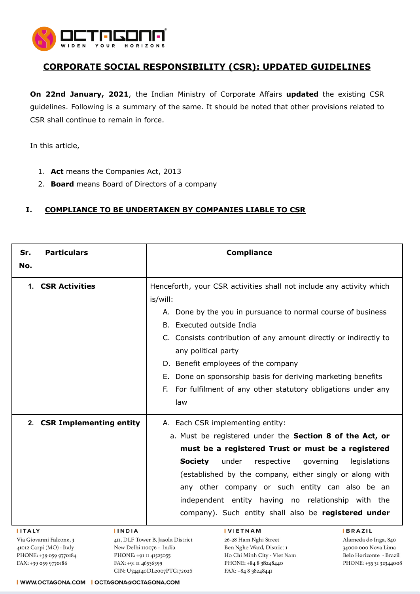

## **CORPORATE SOCIAL RESPONSIBILITY (CSR): UPDATED GUIDELINES**

**On 22nd January, 2021**, the Indian Ministry of Corporate Affairs **updated** the existing CSR guidelines. Following is a summary of the same. It should be noted that other provisions related to CSR shall continue to remain in force.

In this article,

- 1. **Act** means the Companies Act, 2013
- 2. **Board** means Board of Directors of a company

## **I. COMPLIANCE TO BE UNDERTAKEN BY COMPANIES LIABLE TO CSR**

| Sr.                     | <b>Particulars</b>             | <b>Compliance</b>                                                                  |
|-------------------------|--------------------------------|------------------------------------------------------------------------------------|
| No.                     |                                |                                                                                    |
| 1.1                     | <b>CSR Activities</b>          | Henceforth, your CSR activities shall not include any activity which               |
|                         |                                | is/will:                                                                           |
|                         |                                | A. Done by the you in pursuance to normal course of business                       |
|                         |                                | B. Executed outside India                                                          |
|                         |                                | C. Consists contribution of any amount directly or indirectly to                   |
|                         |                                | any political party                                                                |
|                         |                                | D. Benefit employees of the company                                                |
|                         |                                | E. Done on sponsorship basis for deriving marketing benefits                       |
|                         |                                | F. For fulfilment of any other statutory obligations under any                     |
|                         |                                | law                                                                                |
| 2.                      | <b>CSR Implementing entity</b> | A. Each CSR implementing entity:                                                   |
|                         |                                | a. Must be registered under the Section 8 of the Act, or                           |
|                         |                                | must be a registered Trust or must be a registered                                 |
|                         |                                | <b>Society</b><br>under<br>respective<br>governing<br>legislations                 |
|                         |                                | (established by the company, either singly or along with                           |
|                         |                                | any other company or such entity can also be an                                    |
|                         |                                | independent entity having no relationship with the                                 |
|                         |                                | company). Such entity shall also be registered under                               |
| <b>IITALY</b>           | <b>IINDIA</b>                  | <b>IVIETNAM</b><br><b>BRAZIL</b>                                                   |
| Via Giovanni Falcone, 3 |                                | 4II, DLF Tower B. Jasola District<br>26-28 Ham Nghi Street<br>Alameda do Inga, 840 |

41012 Carpi (MO) - Italy PHONE: +39 059 9770184 FAX: +39 059 9770186

New Delhi 110076 - India PHONE: +91 II 41525055 FAX: +91 II 46536399 CIN: U744140DL2007PTC172026

Ben Nghe Ward, District I Ho Chi Minh City - Viet Nam PHONE: +84 8 38248440 FAX: +84 8 38248441

34000 000 Nova Lima Belo Horizonte - Brazil PHONE: +55 31 32344008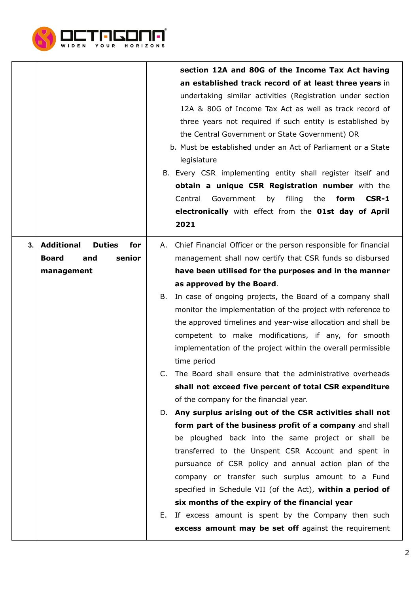

|    |                                                                                          | section 12A and 80G of the Income Tax Act having<br>an established track record of at least three years in<br>undertaking similar activities (Registration under section<br>12A & 80G of Income Tax Act as well as track record of<br>three years not required if such entity is established by<br>the Central Government or State Government) OR<br>b. Must be established under an Act of Parliament or a State<br>legislature<br>B. Every CSR implementing entity shall register itself and<br>obtain a unique CSR Registration number with the<br>Central<br>Government<br>by<br>filing<br>the<br>form<br>CSR-1<br>electronically with effect from the O1st day of April<br>2021                                                              |
|----|------------------------------------------------------------------------------------------|---------------------------------------------------------------------------------------------------------------------------------------------------------------------------------------------------------------------------------------------------------------------------------------------------------------------------------------------------------------------------------------------------------------------------------------------------------------------------------------------------------------------------------------------------------------------------------------------------------------------------------------------------------------------------------------------------------------------------------------------------|
| 3. | <b>Additional</b><br><b>Duties</b><br>for<br>senior<br><b>Board</b><br>and<br>management | A. Chief Financial Officer or the person responsible for financial<br>management shall now certify that CSR funds so disbursed<br>have been utilised for the purposes and in the manner<br>as approved by the Board.<br>In case of ongoing projects, the Board of a company shall<br>B.<br>monitor the implementation of the project with reference to<br>the approved timelines and year-wise allocation and shall be<br>competent to make modifications, if any, for smooth<br>implementation of the project within the overall permissible<br>time period                                                                                                                                                                                      |
|    |                                                                                          | The Board shall ensure that the administrative overheads<br>shall not exceed five percent of total CSR expenditure<br>of the company for the financial year.<br>D. Any surplus arising out of the CSR activities shall not<br>form part of the business profit of a company and shall<br>be ploughed back into the same project or shall be<br>transferred to the Unspent CSR Account and spent in<br>pursuance of CSR policy and annual action plan of the<br>company or transfer such surplus amount to a Fund<br>specified in Schedule VII (of the Act), within a period of<br>six months of the expiry of the financial year<br>E. If excess amount is spent by the Company then such<br>excess amount may be set off against the requirement |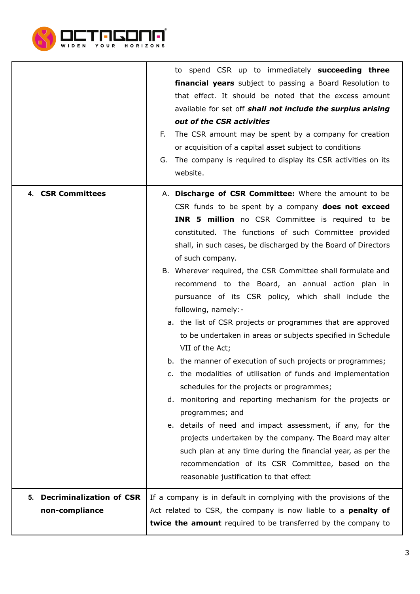

|              |                                                   | to spend CSR up to immediately succeeding three<br>financial years subject to passing a Board Resolution to<br>that effect. It should be noted that the excess amount<br>available for set off shall not include the surplus arising<br>out of the CSR activities<br>The CSR amount may be spent by a company for creation<br>F.<br>or acquisition of a capital asset subject to conditions<br>G. The company is required to display its CSR activities on its<br>website.                                                                                                                                                                                                                                                                                                                                                                                                                                                                                                                                                                                                                                                                                                                                                |
|--------------|---------------------------------------------------|---------------------------------------------------------------------------------------------------------------------------------------------------------------------------------------------------------------------------------------------------------------------------------------------------------------------------------------------------------------------------------------------------------------------------------------------------------------------------------------------------------------------------------------------------------------------------------------------------------------------------------------------------------------------------------------------------------------------------------------------------------------------------------------------------------------------------------------------------------------------------------------------------------------------------------------------------------------------------------------------------------------------------------------------------------------------------------------------------------------------------------------------------------------------------------------------------------------------------|
| $\mathbf{4}$ | <b>CSR Committees</b>                             | A. Discharge of CSR Committee: Where the amount to be<br>CSR funds to be spent by a company does not exceed<br><b>INR 5 million</b> no CSR Committee is required to be<br>constituted. The functions of such Committee provided<br>shall, in such cases, be discharged by the Board of Directors<br>of such company.<br>B. Wherever required, the CSR Committee shall formulate and<br>recommend to the Board, an annual action plan in<br>pursuance of its CSR policy, which shall include the<br>following, namely:-<br>a. the list of CSR projects or programmes that are approved<br>to be undertaken in areas or subjects specified in Schedule<br>VII of the Act;<br>b. the manner of execution of such projects or programmes;<br>c. the modalities of utilisation of funds and implementation<br>schedules for the projects or programmes;<br>d. monitoring and reporting mechanism for the projects or<br>programmes; and<br>e. details of need and impact assessment, if any, for the<br>projects undertaken by the company. The Board may alter<br>such plan at any time during the financial year, as per the<br>recommendation of its CSR Committee, based on the<br>reasonable justification to that effect |
| 5.           | <b>Decriminalization of CSR</b><br>non-compliance | If a company is in default in complying with the provisions of the<br>Act related to CSR, the company is now liable to a <b>penalty of</b><br>twice the amount required to be transferred by the company to                                                                                                                                                                                                                                                                                                                                                                                                                                                                                                                                                                                                                                                                                                                                                                                                                                                                                                                                                                                                               |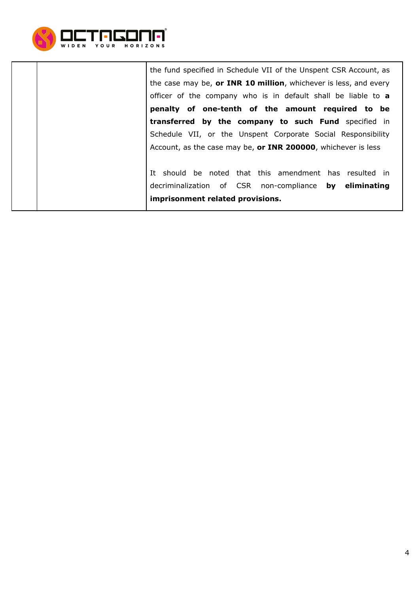

the fund specified in Schedule VII of the Unspent CSR Account, as the case may be, **or INR 10 million**, whichever is less, and every officer of the company who is in default shall be liable to **a penalty of one-tenth of the amount required to be transferred by the company to such Fund** specified in Schedule VII, or the Unspent Corporate Social Responsibility Account, as the case may be, **or INR 200000**, whichever is less

It should be noted that this amendment has resulted in decriminalization of CSR non-compliance **by eliminating imprisonment related provisions.**